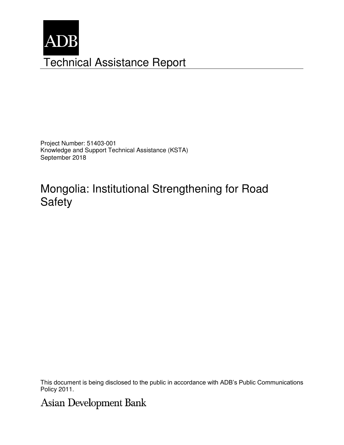

Project Number: 51403-001 Knowledge and Support Technical Assistance (KSTA) September 2018

# Mongolia: Institutional Strengthening for Road Safety

This document is being disclosed to the public in accordance with ADB's Public Communications Policy 2011.

## **Asian Development Bank**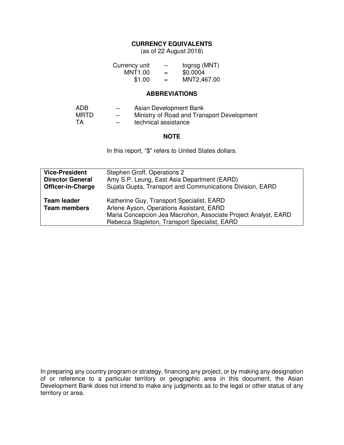## **CURRENCY EQUIVALENTS**

(as of 22 August 2018)

| Currency unit | -   | togrog (MNT) |
|---------------|-----|--------------|
| MNT1.00       | $=$ | \$0.0004     |
| \$1.00        | $=$ | MNT2,467.00  |

#### **ABBREVIATIONS**

| ADB       | $\overline{\phantom{0}}$ | Asian Development Bank                     |
|-----------|--------------------------|--------------------------------------------|
| MRTD      | $\overline{\phantom{0}}$ | Ministry of Road and Transport Development |
| <b>TA</b> | $\overline{\phantom{0}}$ | technical assistance                       |

#### **NOTE**

In this report, "\$" refers to United States dollars.

| <b>Vice-President</b>                     | Stephen Groff, Operations 2                                                                                                                                                                              |
|-------------------------------------------|----------------------------------------------------------------------------------------------------------------------------------------------------------------------------------------------------------|
| <b>Director General</b>                   | Amy S.P. Leung, East Asia Department (EARD)                                                                                                                                                              |
| <b>Officer-in-Charge</b>                  | Sujata Gupta, Transport and Communications Division, EARD                                                                                                                                                |
| <b>Team leader</b><br><b>Team members</b> | Katherine Guy, Transport Specialist, EARD<br>Arlene Ayson, Operations Assistant, EARD<br>Maria Concepcion Jea Macrohon, Associate Project Analyst, EARD<br>Rebecca Stapleton, Transport Specialist, EARD |

In preparing any country program or strategy, financing any project, or by making any designation of or reference to a particular territory or geographic area in this document, the Asian Development Bank does not intend to make any judgments as to the legal or other status of any territory or area.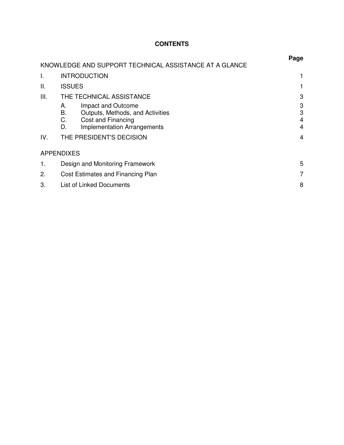## **CONTENTS**

|     |                                                                                                                                            | Page             |
|-----|--------------------------------------------------------------------------------------------------------------------------------------------|------------------|
|     | KNOWLEDGE AND SUPPORT TECHNICAL ASSISTANCE AT A GLANCE                                                                                     |                  |
| I.  | <b>INTRODUCTION</b>                                                                                                                        |                  |
| Ш.  | <b>ISSUES</b>                                                                                                                              |                  |
| Ш.  | THE TECHNICAL ASSISTANCE                                                                                                                   | 3                |
|     | Impact and Outcome<br>А.<br>В.<br>Outputs, Methods, and Activities<br>C.<br>Cost and Financing<br><b>Implementation Arrangements</b><br>D. | 3<br>3<br>4<br>4 |
| IV. | THE PRESIDENT'S DECISION                                                                                                                   | 4                |
|     | <b>APPENDIXES</b>                                                                                                                          |                  |
| 1.  | Design and Monitoring Framework                                                                                                            |                  |
| 2.  | Cost Estimates and Financing Plan                                                                                                          |                  |
| 3.  | List of Linked Documents                                                                                                                   | 8                |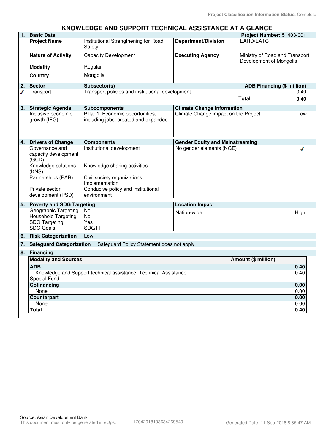#### **KNOWLEDGE AND SUPPORT TECHNICAL ASSISTANCE AT A GLANCE**

| $\overline{1}$ . | <b>Basic Data</b>                               |                                                                           |                         |                                        | Project Number: 51403-001                                 |      |
|------------------|-------------------------------------------------|---------------------------------------------------------------------------|-------------------------|----------------------------------------|-----------------------------------------------------------|------|
|                  | <b>Project Name</b>                             | Institutional Strengthening for Road<br>Safety                            |                         | <b>Department/Division</b>             | EARD/EATC                                                 |      |
|                  | <b>Nature of Activity</b>                       | <b>Capacity Development</b>                                               | <b>Executing Agency</b> |                                        | Ministry of Road and Transport<br>Development of Mongolia |      |
|                  | <b>Modality</b>                                 | Regular                                                                   |                         |                                        |                                                           |      |
|                  | <b>Country</b>                                  | Mongolia                                                                  |                         |                                        |                                                           |      |
| 2.               | <b>Sector</b>                                   | Subsector(s)                                                              |                         |                                        | <b>ADB Financing (\$ million)</b>                         |      |
|                  | Transport                                       | Transport policies and institutional development                          |                         |                                        |                                                           | 0.40 |
|                  |                                                 |                                                                           |                         |                                        | <b>Total</b>                                              | 0.40 |
|                  | 3. Strategic Agenda                             | <b>Subcomponents</b>                                                      |                         | <b>Climate Change Information</b>      |                                                           |      |
|                  | Inclusive economic<br>growth (IEG)              | Pillar 1: Economic opportunities,<br>including jobs, created and expanded |                         | Climate Change impact on the Project   |                                                           | Low  |
|                  | 4. Drivers of Change                            | <b>Components</b>                                                         |                         | <b>Gender Equity and Mainstreaming</b> |                                                           |      |
|                  | Governance and<br>capacity development<br>(GCD) | Institutional development                                                 |                         | No gender elements (NGE)               |                                                           |      |
|                  | Knowledge solutions<br>(KNS)                    | Knowledge sharing activities                                              |                         |                                        |                                                           |      |
|                  | Partnerships (PAR)                              | Civil society organizations<br>Implementation                             |                         |                                        |                                                           |      |
|                  | Private sector<br>development (PSD)             | Conducive policy and institutional<br>environment                         |                         |                                        |                                                           |      |
| 5.               |                                                 | <b>Poverty and SDG Targeting</b><br><b>Location Impact</b>                |                         |                                        |                                                           |      |
|                  | Geographic Targeting                            | No                                                                        | Nation-wide             |                                        |                                                           | High |
|                  | Household Targeting                             | No.                                                                       |                         |                                        |                                                           |      |
|                  | <b>SDG Targeting</b><br><b>SDG Goals</b>        | Yes<br>SDG11                                                              |                         |                                        |                                                           |      |
| 6.               | <b>Risk Categorization</b>                      | Low                                                                       |                         |                                        |                                                           |      |
| 7.               | <b>Safeguard Categorization</b>                 | Safeguard Policy Statement does not apply                                 |                         |                                        |                                                           |      |
|                  | 8. Financing                                    |                                                                           |                         |                                        |                                                           |      |
|                  | <b>Modality and Sources</b><br><b>ADB</b>       |                                                                           |                         |                                        | Amount (\$ million)                                       |      |
|                  |                                                 |                                                                           |                         |                                        |                                                           | 0.40 |
|                  | Special Fund                                    | Knowledge and Support technical assistance: Technical Assistance          |                         |                                        |                                                           | 0.40 |
|                  | Cofinancing                                     |                                                                           |                         |                                        |                                                           | 0.00 |
|                  | None                                            |                                                                           |                         |                                        |                                                           | 0.00 |
|                  | Counterpart                                     |                                                                           |                         |                                        |                                                           | 0.00 |
|                  | None                                            |                                                                           |                         |                                        |                                                           | 0.00 |
|                  | Total                                           |                                                                           |                         |                                        |                                                           | 0.40 |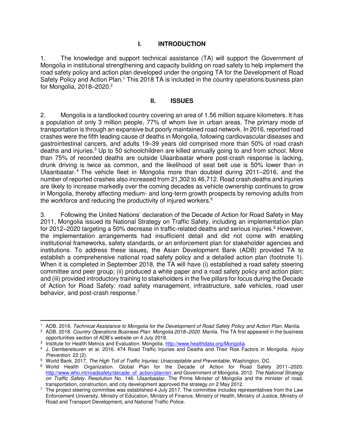#### **I. INTRODUCTION**

1. The knowledge and support technical assistance (TA) will support the Government of Mongolia in institutional strengthening and capacity building on road safety to help implement the road safety policy and action plan developed under the ongoing TA for the Development of Road Safety Policy and Action Plan.<sup>1</sup> This 2018 TA is included in the country operations business plan for Mongolia, 2018–2020.<sup>2</sup>

#### **II. ISSUES**

2. Mongolia is a landlocked country covering an area of 1.56 million square kilometers. It has a population of only 3 million people, 77% of whom live in urban areas. The primary mode of transportation is through an expansive but poorly maintained road network. In 2016, reported road crashes were the fifth leading cause of deaths in Mongolia, following cardiovascular diseases and gastrointestinal cancers, and adults 19–39 years old comprised more than 50% of road crash deaths and injuries.<sup>3</sup> Up to 50 schoolchildren are killed annually going to and from school. More than 75% of recorded deaths are outside Ulaanbaatar where post-crash response is lacking, drunk driving is twice as common, and the likelihood of seat belt use is 50% lower than in Ulaanbaatar.<sup>4</sup> The vehicle fleet in Mongolia more than doubled during 2011–2016, and the number of reported crashes also increased from 21,302 to 46,712. Road crash deaths and injuries are likely to increase markedly over the coming decades as vehicle ownership continues to grow in Mongolia, thereby affecting medium- and long-term growth prospects by removing adults from the workforce and reducing the productivity of injured workers.<sup>5</sup>

3. Following the United Nations' declaration of the Decade of Action for Road Safety in May 2011, Mongolia issued its National Strategy on Traffic Safety, including an implementation plan for 2012–2020 targeting a 50% decrease in traffic-related deaths and serious injuries.<sup>6</sup> However, the implementation arrangements had insufficient detail and did not come with enabling institutional frameworks, safety standards, or an enforcement plan for stakeholder agencies and institutions. To address these issues, the Asian Development Bank (ADB) provided TA to establish a comprehensive national road safety policy and a detailed action plan (footnote 1). When it is completed in September 2018, the TA will have (i) established a road safety steering committee and peer group; (ii) produced a white paper and a road safety policy and action plan; and (iii) provided introductory training to stakeholders in the five pillars for focus during the Decade of Action for Road Safety: road safety management, infrastructure, safe vehicles, road user behavior, and post-crash response.<sup>7</sup>

 $\overline{a}$ 

<sup>&</sup>lt;sup>1</sup> ADB. 2016. Technical Assistance to Mongolia for the Development of Road Safety Policy and Action Plan. Manila.

<sup>2</sup> ADB. 2018. Country Operations Business Plan: Mongolia 2018*–*2020. Manila. The TA first appeared in the business opportunities section of ADB's website on 4 July 2018.

<sup>&</sup>lt;sup>3</sup> Institute for Health Metrics and Evaluation. Mongolia[. http://www.healthdata.org/Mongolia.](http://www.healthdata.org/Mongolia)

<sup>&</sup>lt;sup>4</sup> J. Demberelsuren et al. 2016. 474 Road Traffic Injuries and Deaths and Their Risk Factors in Mongolia. *Injury* Prevention. 22 (2).

<sup>&</sup>lt;sup>5</sup> World Bank. 2017. The High Toll of Traffic Injuries: Unacceptable and Preventable. Washington, DC.

<sup>6</sup> World Health Organization. Global Plan for the Decade of Action for Road Safety 2011–2020. [http://www.who.int/roadsafety/decade\\_of\\_action/plan/en;](http://www.who.int/roadsafety/decade_of_action/plan/en) and Government of Mongolia. 2012. The National Strategy on Traffic Safety. Resolution No. 146. Ulaanbaatar. The Prime Minister of Mongolia and the minister of road, transportation, construction, and city development approved the strategy on 2 May 2012.

<sup>7</sup> The project steering committee was established 4 July 2017. The committee includes representatives from the Law Enforcement University, Ministry of Education, Ministry of Finance, Ministry of Health, Ministry of Justice, Ministry of Road and Transport Development, and National Traffic Police.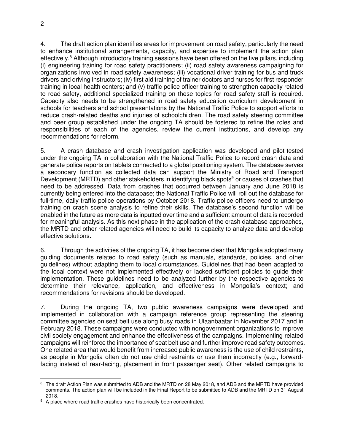4. The draft action plan identifies areas for improvement on road safety, particularly the need to enhance institutional arrangements, capacity, and expertise to implement the action plan effectively.<sup>8</sup> Although introductory training sessions have been offered on the five pillars, including (i) engineering training for road safety practitioners; (ii) road safety awareness campaigning for organizations involved in road safety awareness; (iii) vocational driver training for bus and truck drivers and driving instructors; (iv) first aid training of trainer doctors and nurses for first responder training in local health centers; and (v) traffic police officer training to strengthen capacity related to road safety, additional specialized training on these topics for road safety staff is required. Capacity also needs to be strengthened in road safety education curriculum development in schools for teachers and school presentations by the National Traffic Police to support efforts to reduce crash-related deaths and injuries of schoolchildren. The road safety steering committee and peer group established under the ongoing TA should be fostered to refine the roles and responsibilities of each of the agencies, review the current institutions, and develop any recommendations for reform.

5. A crash database and crash investigation application was developed and pilot-tested under the ongoing TA in collaboration with the National Traffic Police to record crash data and generate police reports on tablets connected to a global positioning system. The database serves a secondary function as collected data can support the Ministry of Road and Transport Development (MRTD) and other stakeholders in identifying black spots<sup>9</sup> or causes of crashes that need to be addressed. Data from crashes that occurred between January and June 2018 is currently being entered into the database; the National Traffic Police will roll out the database for full-time, daily traffic police operations by October 2018. Traffic police officers need to undergo training on crash scene analysis to refine their skills. The database's second function will be enabled in the future as more data is inputted over time and a sufficient amount of data is recorded for meaningful analysis. As this next phase in the application of the crash database approaches, the MRTD and other related agencies will need to build its capacity to analyze data and develop effective solutions.

6. Through the activities of the ongoing TA, it has become clear that Mongolia adopted many guiding documents related to road safety (such as manuals, standards, policies, and other guidelines) without adapting them to local circumstances. Guidelines that had been adapted to the local context were not implemented effectively or lacked sufficient policies to guide their implementation. These guidelines need to be analyzed further by the respective agencies to determine their relevance, application, and effectiveness in Mongolia's context; and recommendations for revisions should be developed.

7. During the ongoing TA, two public awareness campaigns were developed and implemented in collaboration with a campaign reference group representing the steering committee agencies on seat belt use along busy roads in Ulaanbaatar in November 2017 and in February 2018. These campaigns were conducted with nongovernment organizations to improve civil society engagement and enhance the effectiveness of the campaigns. Implementing related campaigns will reinforce the importance of seat belt use and further improve road safety outcomes. One related area that would benefit from increased public awareness is the use of child restraints, as people in Mongolia often do not use child restraints or use them incorrectly (e.g., forwardfacing instead of rear-facing, placement in front passenger seat). Other related campaigns to

 $\overline{a}$ <sup>8</sup> The draft Action Plan was submitted to ADB and the MRTD on 28 May 2018, and ADB and the MRTD have provided comments. The action plan will be included in the Final Report to be submitted to ADB and the MRTD on 31 August 2018.

<sup>&</sup>lt;sup>9</sup> A place where road traffic crashes have historically been concentrated.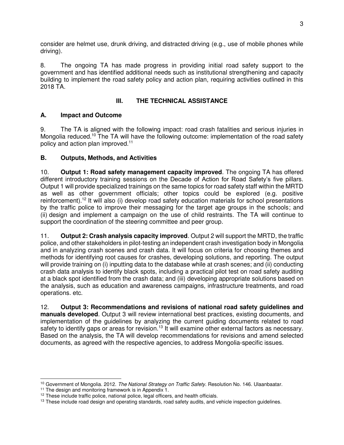consider are helmet use, drunk driving, and distracted driving (e.g., use of mobile phones while driving).

8. The ongoing TA has made progress in providing initial road safety support to the government and has identified additional needs such as institutional strengthening and capacity building to implement the road safety policy and action plan, requiring activities outlined in this 2018 TA.

## **III. THE TECHNICAL ASSISTANCE**

## **A. Impact and Outcome**

9. The TA is aligned with the following impact: road crash fatalities and serious injuries in Mongolia reduced.<sup>10</sup> The TA will have the following outcome: implementation of the road safety policy and action plan improved.<sup>11</sup>

## **B. Outputs, Methods, and Activities**

10. **Output 1: Road safety management capacity improved**. The ongoing TA has offered different introductory training sessions on the Decade of Action for Road Safety's five pillars. Output 1 will provide specialized trainings on the same topics for road safety staff within the MRTD as well as other government officials; other topics could be explored (e.g. positive reinforcement).<sup>12</sup> It will also (i) develop road safety education materials for school presentations by the traffic police to improve their messaging for the target age groups in the schools; and (ii) design and implement a campaign on the use of child restraints. The TA will continue to support the coordination of the steering committee and peer group.

11. **Output 2: Crash analysis capacity improved**. Output 2 will support the MRTD, the traffic police, and other stakeholders in pilot-testing an independent crash investigation body in Mongolia and in analyzing crash scenes and crash data. It will focus on criteria for choosing themes and methods for identifying root causes for crashes, developing solutions, and reporting. The output will provide training on (i) inputting data to the database while at crash scenes; and (ii) conducting crash data analysis to identify black spots, including a practical pilot test on road safety auditing at a black spot identified from the crash data; and (iii) developing appropriate solutions based on the analysis, such as education and awareness campaigns, infrastructure treatments, and road operations. etc.

12. **Output 3: Recommendations and revisions of national road safety guidelines and manuals developed**. Output 3 will review international best practices, existing documents, and implementation of the guidelines by analyzing the current guiding documents related to road safety to identify gaps or areas for revision.<sup>13</sup> It will examine other external factors as necessary. Based on the analysis, the TA will develop recommendations for revisions and amend selected documents, as agreed with the respective agencies, to address Mongolia-specific issues.

 $\overline{a}$ <sup>10</sup> Government of Mongolia. 2012. The National Strategy on Traffic Safety. Resolution No. 146. Ulaanbaatar.

<sup>&</sup>lt;sup>11</sup> The design and monitoring framework is in Appendix 1.

<sup>&</sup>lt;sup>12</sup> These include traffic police, national police, legal officers, and health officials.

<sup>&</sup>lt;sup>13</sup> These include road design and operating standards, road safety audits, and vehicle inspection guidelines.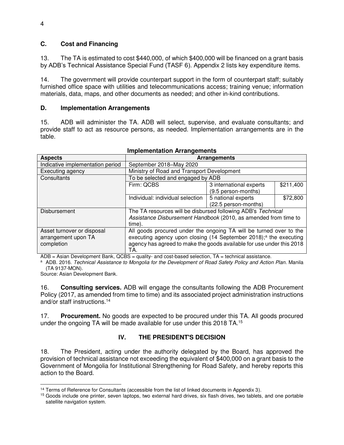#### **C. Cost and Financing**

13. The TA is estimated to cost \$440,000, of which \$400,000 will be financed on a grant basis by ADB's Technical Assistance Special Fund (TASF 6). Appendix 2 lists key expenditure items.

14. The government will provide counterpart support in the form of counterpart staff; suitably furnished office space with utilities and telecommunications access; training venue; information materials, data, maps, and other documents as needed; and other in-kind contributions.

#### **D. Implementation Arrangements**

15. ADB will administer the TA. ADB will select, supervise, and evaluate consultants; and provide staff to act as resource persons, as needed. Implementation arrangements are in the table.

| <b>Aspects</b>                   | <b>Arrangements</b>                                                           |                         |           |
|----------------------------------|-------------------------------------------------------------------------------|-------------------------|-----------|
| Indicative implementation period | September 2018-May 2020                                                       |                         |           |
| Executing agency                 | Ministry of Road and Transport Development                                    |                         |           |
| Consultants                      | To be selected and engaged by ADB                                             |                         |           |
|                                  | Firm: QCBS                                                                    | 3 international experts | \$211,400 |
|                                  |                                                                               | (9.5 person-months)     |           |
|                                  | Individual: individual selection                                              | 5 national experts      | \$72,800  |
|                                  |                                                                               | (22.5 person-months)    |           |
| Disbursement                     | The TA resources will be disbursed following ADB's Technical                  |                         |           |
|                                  | Assistance Disbursement Handbook (2010, as amended from time to               |                         |           |
|                                  | time).                                                                        |                         |           |
| Asset turnover or disposal       | All goods procured under the ongoing TA will be turned over to the            |                         |           |
| arrangement upon TA              | executing agency upon closing (14 September 2018); <sup>a</sup> the executing |                         |           |
| completion                       | agency has agreed to make the goods available for use under this 2018         |                         |           |
|                                  | TA.                                                                           |                         |           |

#### **Implementation Arrangements**

 $ADB = Asian Development Bank, QCBS = quality- and cost-based selection, TA = technical assistance.$ 

a ADB. 2016. Technical Assistance to Mongolia for the Development of Road Safety Policy and Action Plan. Manila (TA 9137-MON).

Source: Asian Development Bank.

16. **Consulting services.** ADB will engage the consultants following the ADB Procurement Policy (2017, as amended from time to time) and its associated project administration instructions and/or staff instructions.<sup>14</sup>

17. **Procurement.** No goods are expected to be procured under this TA. All goods procured under the ongoing TA will be made available for use under this 2018 TA.<sup>15</sup>

## **IV. THE PRESIDENT'S DECISION**

18. The President, acting under the authority delegated by the Board, has approved the provision of technical assistance not exceeding the equivalent of \$400,000 on a grant basis to the Government of Mongolia for Institutional Strengthening for Road Safety, and hereby reports this action to the Board.

 $\overline{a}$ <sup>14</sup> Terms of Reference for Consultants (accessible from the list of linked documents in Appendix 3).

<sup>&</sup>lt;sup>15</sup> Goods include one printer, seven laptops, two external hard drives, six flash drives, two tablets, and one portable satellite navigation system.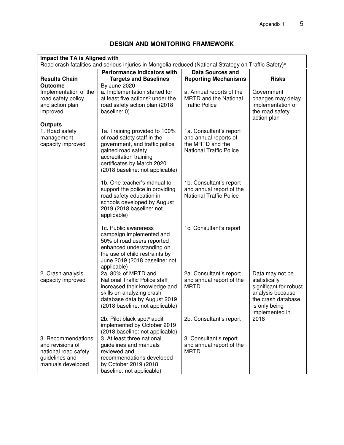| Impact the TA is Aligned with<br>Road crash fatalities and serious injuries in Mongolia reduced (National Strategy on Traffic Safety) <sup>a</sup> |                                                                                                                                                                                                                 |                                                                                                        |                                                                                                                                         |  |
|----------------------------------------------------------------------------------------------------------------------------------------------------|-----------------------------------------------------------------------------------------------------------------------------------------------------------------------------------------------------------------|--------------------------------------------------------------------------------------------------------|-----------------------------------------------------------------------------------------------------------------------------------------|--|
| <b>Results Chain</b>                                                                                                                               | <b>Performance Indicators with</b><br><b>Targets and Baselines</b>                                                                                                                                              | <b>Data Sources and</b><br><b>Reporting Mechanisms</b>                                                 | <b>Risks</b>                                                                                                                            |  |
| <b>Outcome</b><br>Implementation of the<br>road safety policy<br>and action plan<br>improved                                                       | By June 2020<br>a. Implementation started for<br>at least five actions <sup>b</sup> under the<br>road safety action plan (2018<br>baseline: 0)                                                                  | a. Annual reports of the<br>MRTD and the National<br><b>Traffic Police</b>                             | Government<br>changes may delay<br>implementation of<br>the road safety<br>action plan                                                  |  |
| <b>Outputs</b><br>1. Road safety<br>management<br>capacity improved                                                                                | 1a. Training provided to 100%<br>of road safety staff in the<br>government, and traffic police<br>gained road safety<br>accreditation training<br>certificates by March 2020<br>(2018 baseline: not applicable) | 1a. Consultant's report<br>and annual reports of<br>the MRTD and the<br><b>National Traffic Police</b> |                                                                                                                                         |  |
|                                                                                                                                                    | 1b. One teacher's manual to<br>support the police in providing<br>road safety education in<br>schools developed by August<br>2019 (2018 baseline: not<br>applicable)                                            | 1b. Consultant's report<br>and annual report of the<br><b>National Traffic Police</b>                  |                                                                                                                                         |  |
|                                                                                                                                                    | 1c. Public awareness<br>campaign implemented and<br>50% of road users reported<br>enhanced understanding on<br>the use of child restraints by<br>June 2019 (2018 baseline: not<br>applicable)                   | 1c. Consultant's report                                                                                |                                                                                                                                         |  |
| 2. Crash analysis<br>capacity improved                                                                                                             | 2a. 80% of MRTD and<br><b>National Traffic Police staff</b><br>increased their knowledge and<br>skills on analyzing crash<br>database data by August 2019<br>(2018 baseline: not applicable)                    | 2a. Consultant's report<br>and annual report of the<br><b>MRTD</b>                                     | Data may not be<br>statistically<br>significant for robust<br>analysis because<br>the crash database<br>is only being<br>implemented in |  |
|                                                                                                                                                    | 2b. Pilot black spot <sup>c</sup> audit<br>implemented by October 2019<br>(2018 baseline: not applicable)                                                                                                       | 2b. Consultant's report                                                                                | 2018                                                                                                                                    |  |
| 3. Recommendations<br>and revisions of<br>national road safety<br>guidelines and<br>manuals developed                                              | 3. At least three national<br>guidelines and manuals<br>reviewed and<br>recommendations developed<br>by October 2019 (2018<br>baseline: not applicable)                                                         | 3. Consultant's report<br>and annual report of the<br><b>MRTD</b>                                      |                                                                                                                                         |  |

## **DESIGN AND MONITORING FRAMEWORK**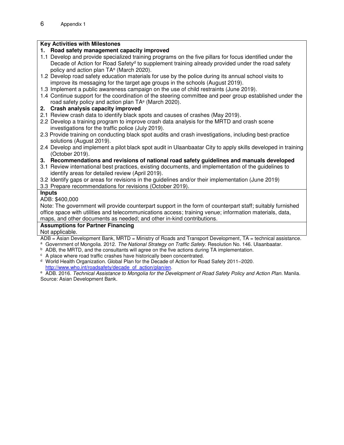## **Key Activities with Milestones**

## **1. Road safety management capacity improved**

- 1.1 Develop and provide specialized training programs on the five pillars for focus identified under the Decade of Action for Road Safety<sup>d</sup> to supplement training already provided under the road safety policy and action plan TA<sup>e</sup> (March 2020).
- 1.2 Develop road safety education materials for use by the police during its annual school visits to improve its messaging for the target age groups in the schools (August 2019).
- 1.3 Implement a public awareness campaign on the use of child restraints (June 2019).
- 1.4 Continue support for the coordination of the steering committee and peer group established under the road safety policy and action plan TA<sup>e</sup> (March 2020).
- **2. Crash analysis capacity improved**
- 2.1 Review crash data to identify black spots and causes of crashes (May 2019).
- 2.2 Develop a training program to improve crash data analysis for the MRTD and crash scene investigations for the traffic police (July 2019).
- 2.3 Provide training on conducting black spot audits and crash investigations, including best-practice solutions (August 2019).
- 2.4 Develop and implement a pilot black spot audit in Ulaanbaatar City to apply skills developed in training (October 2019).
- **3. Recommendations and revisions of national road safety guidelines and manuals developed**
- 3.1 Review international best practices, existing documents, and implementation of the guidelines to identify areas for detailed review (April 2019).
- 3.2 Identify gaps or areas for revisions in the guidelines and/or their implementation (June 2019)

3.3 Prepare recommendations for revisions (October 2019).

## **Inputs**

ADB: \$400,000

Note: The government will provide counterpart support in the form of counterpart staff; suitably furnished office space with utilities and telecommunications access; training venue; information materials, data, maps, and other documents as needed; and other in-kind contributions.

## **Assumptions for Partner Financing**

Not applicable.

ADB = Asian Development Bank, MRTD = Ministry of Roads and Transport Development, TA = technical assistance.

<sup>a</sup> Government of Mongolia. 2012. The National Strategy on Traffic Safety. Resolution No. 146. Ulaanbaatar.

- <sup>b</sup> ADB, the MRTD, and the consultants will agree on the five actions during TA implementation.
- <sup>c</sup> A place where road traffic crashes have historically been concentrated.
- <sup>d</sup> World Health Organization. Global Plan for the Decade of Action for Road Safety 2011–2020.

[http://www.who.int/roadsafety/decade\\_of\\_action/plan/en.](http://www.who.int/roadsafety/decade_of_action/plan/en)

e ADB. 2016. Technical Assistance to Mongolia for the Development of Road Safety Policy and Action Plan. Manila. Source: Asian Development Bank.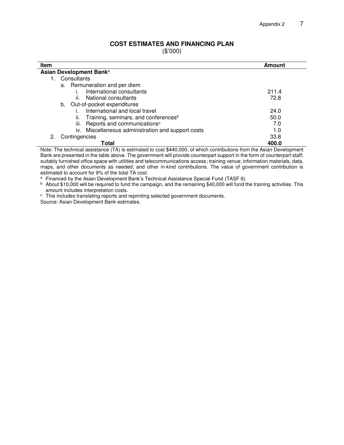#### **COST ESTIMATES AND FINANCING PLAN**

(\$'000)

| Item                                                    | <b>Amount</b> |  |  |  |
|---------------------------------------------------------|---------------|--|--|--|
| Asian Development Bank <sup>a</sup>                     |               |  |  |  |
| Consultants                                             |               |  |  |  |
| a. Remuneration and per diem                            |               |  |  |  |
| International consultants                               | 211.4         |  |  |  |
| National consultants<br>II.                             | 72.8          |  |  |  |
| b. Out-of-pocket expenditures                           |               |  |  |  |
| International and local travel                          | 24.0          |  |  |  |
| Training, seminars, and conferences <sup>b</sup><br>ii. | 50.0          |  |  |  |
| iii. Reports and communications <sup>c</sup>            | 7.0           |  |  |  |
| iv. Miscellaneous administration and support costs      | 1.0           |  |  |  |
| Contingencies<br>2.                                     | 33.8          |  |  |  |
| Total                                                   | 400.0         |  |  |  |

Note: The technical assistance (TA) is estimated to cost \$440,000, of which contributions from the Asian Development Bank are presented in the table above. The government will provide counterpart support in the form of counterpart staff; suitably furnished office space with utilities and telecommunications access; training venue; information materials, data, maps, and other documents as needed; and other in-kind contributions. The value of government contribution is estimated to account for 9% of the total TA cost.

a Financed by the Asian Development Bank's Technical Assistance Special Fund (TASF 6).

b About \$10,000 will be required to fund the campaign, and the remaining \$40,000 will fund the training activities. This amount includes interpretation costs.

c This includes translating reports and reprinting selected government documents.

Source: Asian Development Bank estimates.